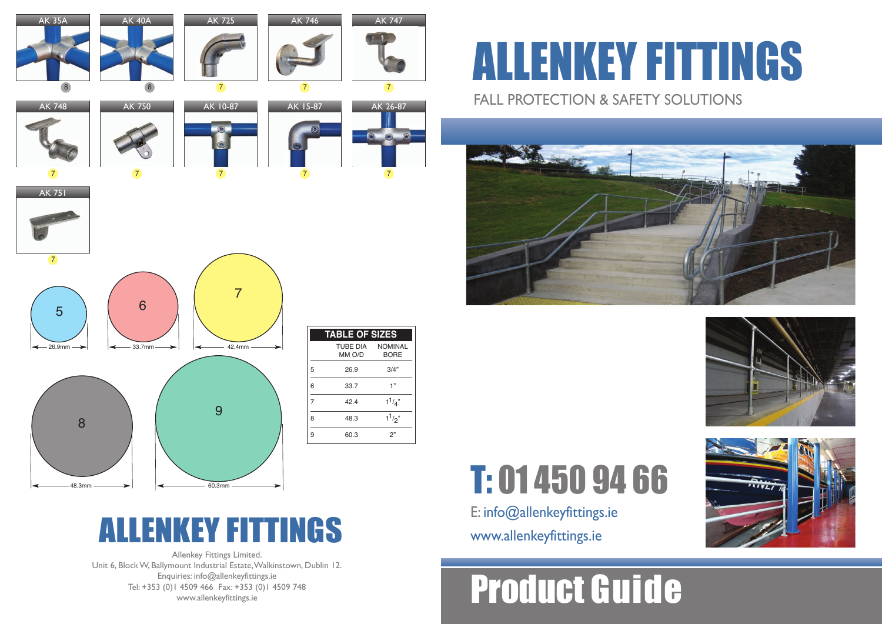Allenkey Fittings Limited. Unit 6, BlockW, Ballymount Industrial Estate,Walkinstown, Dublin 12. Enquiries: info@allenkeyfittings.ie Tel: +353 (0)1 4509 466 Fax: +353 (0)1 4509 748 www.allenkeyfittings.ie

## FALL PROTECTION & SAFETY SOLUTIONS ALLENKEY FITTINGS



|                | <b>TABLE OF SIZES</b>      |             |
|----------------|----------------------------|-------------|
|                | TUBE DIA NOMINAL<br>MM O/D | <b>BORE</b> |
| 5              | 26.9                       | 3/4"        |
| 6              | 33.7                       | 1"          |
| $\overline{7}$ | 42.4                       | $1^{1/4}$   |
| 8              | 48.3                       | $1^{1/2}$   |
| 9              | 60.3                       | 2"          |

## Product Guide







T: 01 450 94 66

E: info@allenkeyfittings.ie

## ALLENKEY FITTINGS www.allenkeyfittings.ie

| <b>AK 35A</b><br>8 | <b>AK 40A</b><br>8 | <b>AK 725</b><br>$\overline{7}$ | <b>AK 746</b><br>$\overline{7}$  | <b>AK 747</b><br>$\overline{7}$             |
|--------------------|--------------------|---------------------------------|----------------------------------|---------------------------------------------|
| <b>AK 748</b>      | <b>AK 750</b>      | AK 10-87                        | AK 15-87                         | AK 26-87                                    |
|                    |                    | $\circledcirc$<br>$\bullet$     | $\circledcirc$<br>$\circledcirc$ | $\odot$<br>$\circledcirc$<br>$\circledcirc$ |
| $\overline{7}$     | $\overline{7}$     | $\overline{7}$                  | $\overline{7}$                   | $\overline{7}$                              |
| <b>AK 751</b>      |                    |                                 |                                  |                                             |